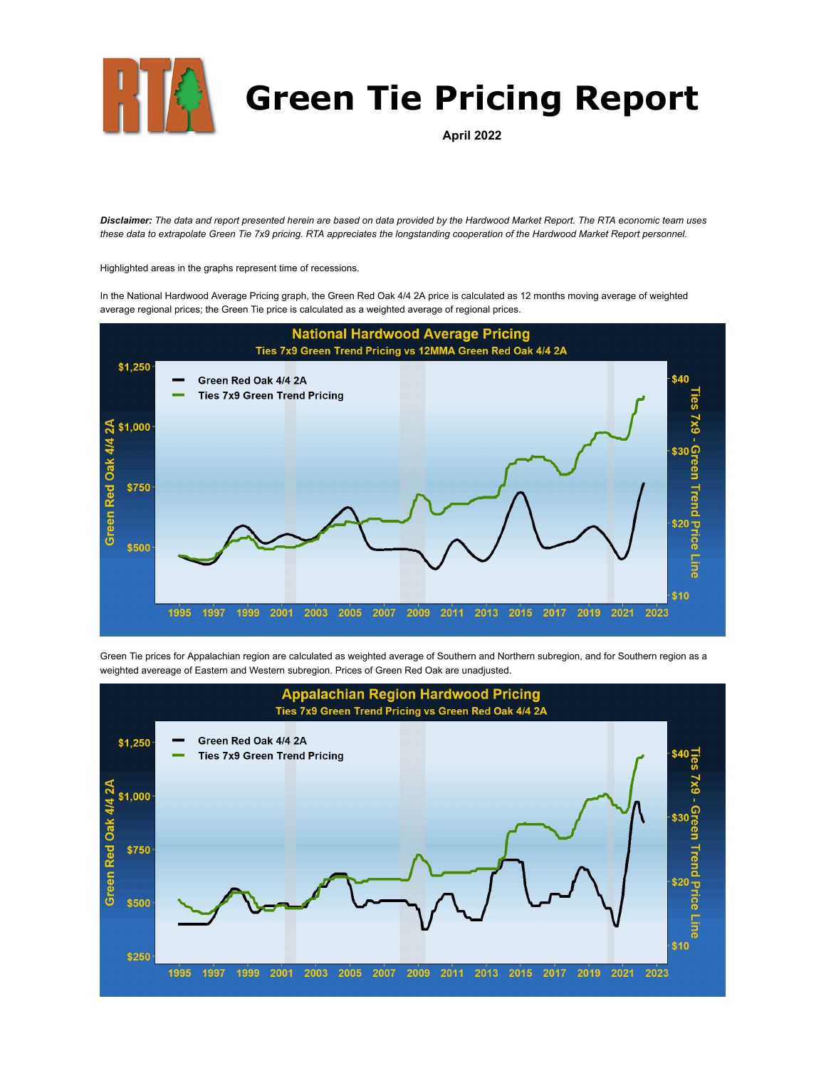

## **Green Tie Pricing Report**

**April 2022**

*Disclaimer: The data and report presented herein are based on data provided by the Hardwood Market Report. The RTA economic team uses these data to extrapolate Green Tie 7x9 pricing. RTA appreciates the longstanding cooperation of the Hardwood Market Report personnel.*

Highlighted areas in the graphs represent time of recessions.

In the National Hardwood Average Pricing graph, the Green Red Oak 4/4 2A price is calculated as 12 months moving average of weighted average regional prices; the Green Tie price is calculated as a weighted average of regional prices.



Green Tie prices for Appalachian region are calculated as weighted average of Southern and Northern subregion, and for Southern region as a weighted avereage of Eastern and Western subregion. Prices of Green Red Oak are unadjusted.

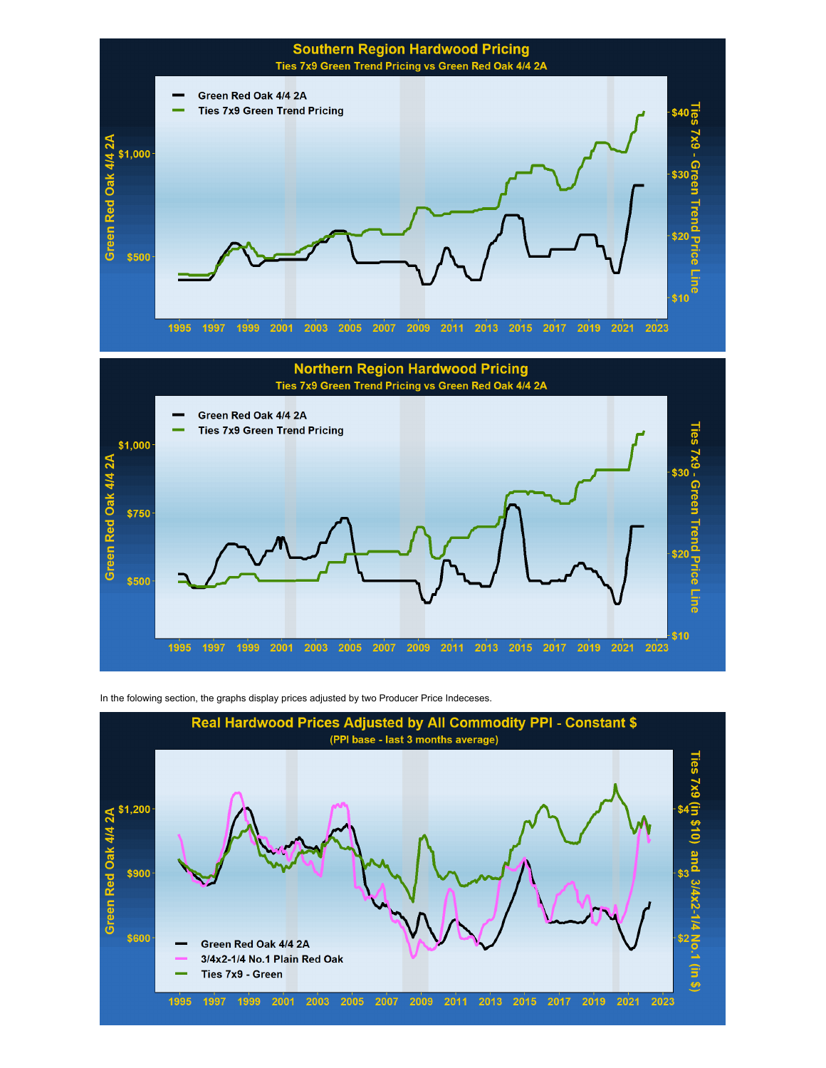



In the folowing section, the graphs display prices adjusted by two Producer Price Indeceses.

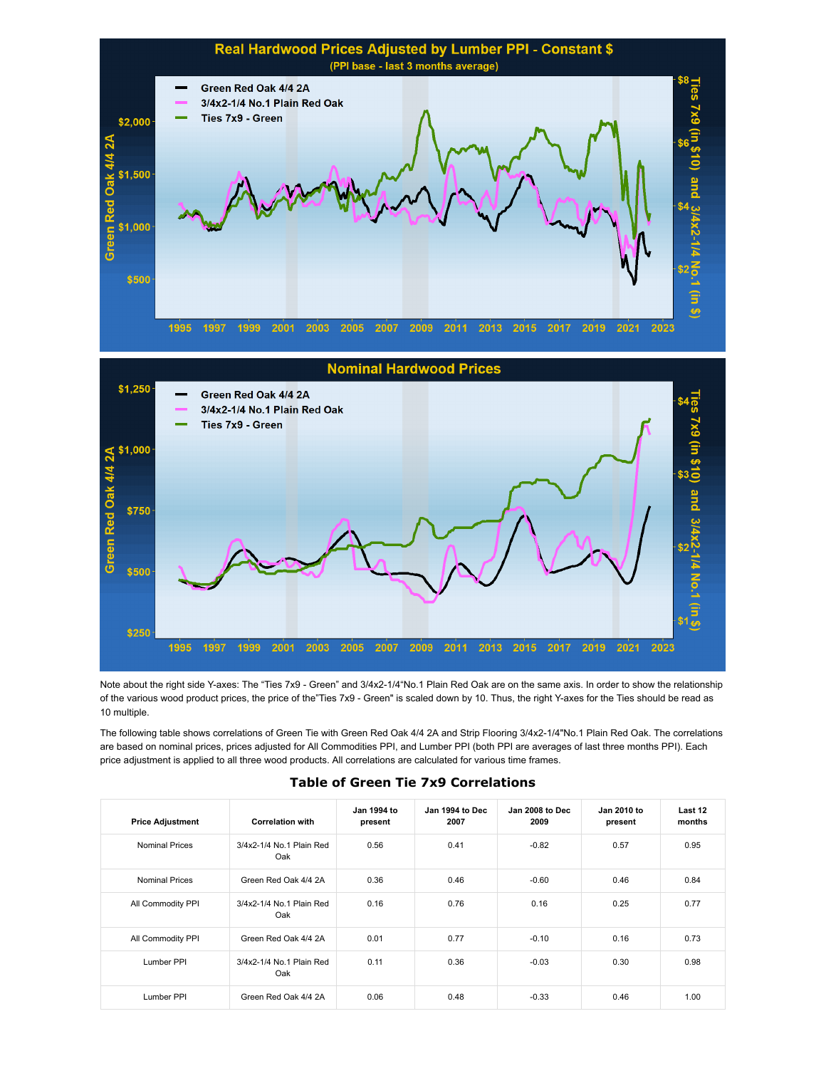



Note about the right side Y-axes: The "Ties 7x9 - Green" and 3/4x2-1/4"No.1 Plain Red Oak are on the same axis. In order to show the relationship of the various wood product prices, the price of the"Ties 7x9 - Green" is scaled down by 10. Thus, the right Y-axes for the Ties should be read as 10 multiple.

The following table shows correlations of Green Tie with Green Red Oak 4/4 2A and Strip Flooring 3/4x2-1/4"No.1 Plain Red Oak. The correlations are based on nominal prices, prices adjusted for All Commodities PPI, and Lumber PPI (both PPI are averages of last three months PPI). Each price adjustment is applied to all three wood products. All correlations are calculated for various time frames.

| <b>Price Adjustment</b> | <b>Correlation with</b>         | Jan 1994 to<br>present | Jan 1994 to Dec<br>2007 | Jan 2008 to Dec<br>2009 | Jan 2010 to<br>present | Last 12<br>months |
|-------------------------|---------------------------------|------------------------|-------------------------|-------------------------|------------------------|-------------------|
| <b>Nominal Prices</b>   | 3/4x2-1/4 No.1 Plain Red<br>Oak | 0.56                   | 0.41                    | $-0.82$                 | 0.57                   | 0.95              |
| <b>Nominal Prices</b>   | Green Red Oak 4/4 2A            | 0.36                   | 0.46                    | $-0.60$                 | 0.46                   | 0.84              |
| All Commodity PPI       | 3/4x2-1/4 No.1 Plain Red<br>Oak | 0.16                   | 0.76                    | 0.16                    | 0.25                   | 0.77              |
| All Commodity PPI       | Green Red Oak 4/4 2A            | 0.01                   | 0.77                    | $-0.10$                 | 0.16                   | 0.73              |
| Lumber PPI              | 3/4x2-1/4 No.1 Plain Red<br>Oak | 0.11                   | 0.36                    | $-0.03$                 | 0.30                   | 0.98              |
| Lumber PPI              | Green Red Oak 4/4 2A            | 0.06                   | 0.48                    | $-0.33$                 | 0.46                   | 1.00              |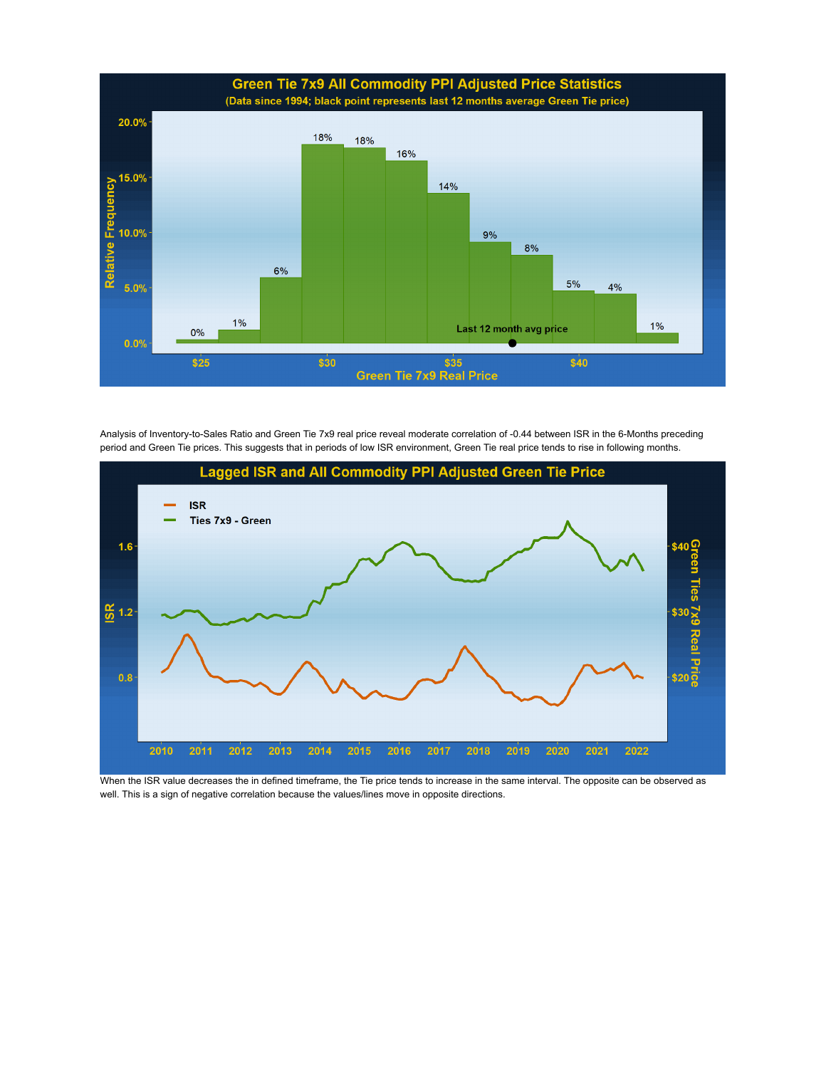

Analysis of Inventory-to-Sales Ratio and Green Tie 7x9 real price reveal moderate correlation of -0.44 between ISR in the 6-Months preceding period and Green Tie prices. This suggests that in periods of low ISR environment, Green Tie real price tends to rise in following months.



When the ISR value decreases the in defined timeframe, the Tie price tends to increase in the same interval. The opposite can be observed as well. This is a sign of negative correlation because the values/lines move in opposite directions.